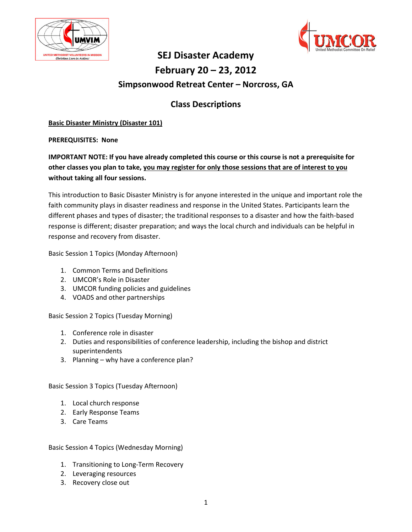



# SEJ Disaster Academy

## February 20 – 23, 2012

## Simpsonwood Retreat Center – Norcross, GA

## Class Descriptions

Basic Disaster Ministry (Disaster 101)

PREREQUISITES: None

IMPORTANT NOTE: If you have already completed this course or this course is not a prerequisite for other classes you plan to take, you may register for only those sessions that are of interest to you without taking all four sessions.

This introduction to Basic Disaster Ministry is for anyone interested in the unique and important role the faith community plays in disaster readiness and response in the United States. Participants learn the different phases and types of disaster; the traditional responses to a disaster and how the faith-based response is different; disaster preparation; and ways the local church and individuals can be helpful in response and recovery from disaster.

Basic Session 1 Topics (Monday Afternoon)

- 1. Common Terms and Definitions
- 2. UMCOR's Role in Disaster
- 3. UMCOR funding policies and guidelines
- 4. VOADS and other partnerships

Basic Session 2 Topics (Tuesday Morning)

- 1. Conference role in disaster
- 2. Duties and responsibilities of conference leadership, including the bishop and district superintendents
- 3. Planning why have a conference plan?

Basic Session 3 Topics (Tuesday Afternoon)

- 1. Local church response
- 2. Early Response Teams
- 3. Care Teams

Basic Session 4 Topics (Wednesday Morning)

- 1. Transitioning to Long-Term Recovery
- 2. Leveraging resources
- 3. Recovery close out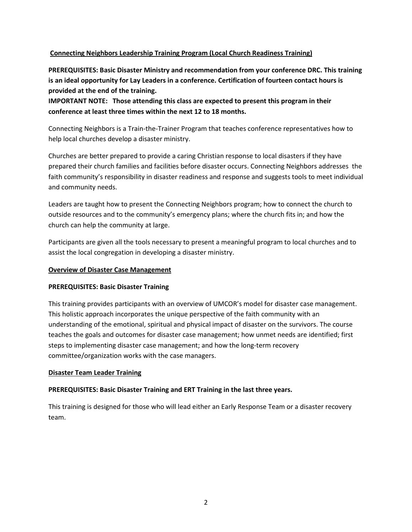## Connecting Neighbors Leadership Training Program (Local Church Readiness Training)

PREREQUISITES: Basic Disaster Ministry and recommendation from your conference DRC. This training is an ideal opportunity for Lay Leaders in a conference. Certification of fourteen contact hours is provided at the end of the training.

IMPORTANT NOTE: Those attending this class are expected to present this program in their conference at least three times within the next 12 to 18 months.

Connecting Neighbors is a Train-the-Trainer Program that teaches conference representatives how to help local churches develop a disaster ministry.

Churches are better prepared to provide a caring Christian response to local disasters if they have prepared their church families and facilities before disaster occurs. Connecting Neighbors addresses the faith community's responsibility in disaster readiness and response and suggests tools to meet individual and community needs.

Leaders are taught how to present the Connecting Neighbors program; how to connect the church to outside resources and to the community's emergency plans; where the church fits in; and how the church can help the community at large.

Participants are given all the tools necessary to present a meaningful program to local churches and to assist the local congregation in developing a disaster ministry.

## Overview of Disaster Case Management

## PREREQUISITES: Basic Disaster Training

This training provides participants with an overview of UMCOR's model for disaster case management. This holistic approach incorporates the unique perspective of the faith community with an understanding of the emotional, spiritual and physical impact of disaster on the survivors. The course teaches the goals and outcomes for disaster case management; how unmet needs are identified; first steps to implementing disaster case management; and how the long-term recovery committee/organization works with the case managers.

## Disaster Team Leader Training

## PREREQUISITES: Basic Disaster Training and ERT Training in the last three years.

This training is designed for those who will lead either an Early Response Team or a disaster recovery team.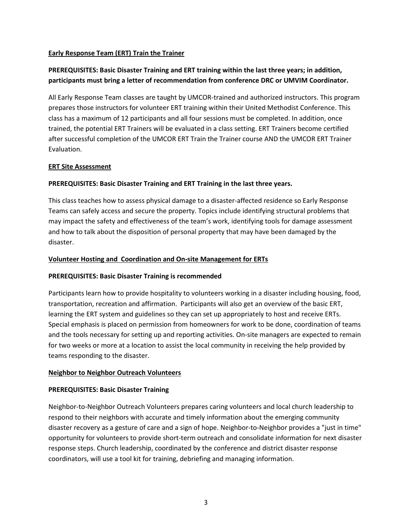## Early Response Team (ERT) Train the Trainer

## PREREQUISITES: Basic Disaster Training and ERT training within the last three years; in addition, participants must bring a letter of recommendation from conference DRC or UMVIM Coordinator.

All Early Response Team classes are taught by UMCOR-trained and authorized instructors. This program prepares those instructors for volunteer ERT training within their United Methodist Conference. This class has a maximum of 12 participants and all four sessions must be completed. In addition, once trained, the potential ERT Trainers will be evaluated in a class setting. ERT Trainers become certified after successful completion of the UMCOR ERT Train the Trainer course AND the UMCOR ERT Trainer Evaluation.

## ERT Site Assessment

## PREREQUISITES: Basic Disaster Training and ERT Training in the last three years.

This class teaches how to assess physical damage to a disaster-affected residence so Early Response Teams can safely access and secure the property. Topics include identifying structural problems that may impact the safety and effectiveness of the team's work, identifying tools for damage assessment and how to talk about the disposition of personal property that may have been damaged by the disaster.

## Volunteer Hosting and Coordination and On-site Management for ERTs

## PREREQUISITES: Basic Disaster Training is recommended

Participants learn how to provide hospitality to volunteers working in a disaster including housing, food, transportation, recreation and affirmation. Participants will also get an overview of the basic ERT, learning the ERT system and guidelines so they can set up appropriately to host and receive ERTs. Special emphasis is placed on permission from homeowners for work to be done, coordination of teams and the tools necessary for setting up and reporting activities. On-site managers are expected to remain for two weeks or more at a location to assist the local community in receiving the help provided by teams responding to the disaster.

## Neighbor to Neighbor Outreach Volunteers

## PREREQUISITES: Basic Disaster Training

Neighbor-to-Neighbor Outreach Volunteers prepares caring volunteers and local church leadership to respond to their neighbors with accurate and timely information about the emerging community disaster recovery as a gesture of care and a sign of hope. Neighbor-to-Neighbor provides a "just in time" opportunity for volunteers to provide short-term outreach and consolidate information for next disaster response steps. Church leadership, coordinated by the conference and district disaster response coordinators, will use a tool kit for training, debriefing and managing information.